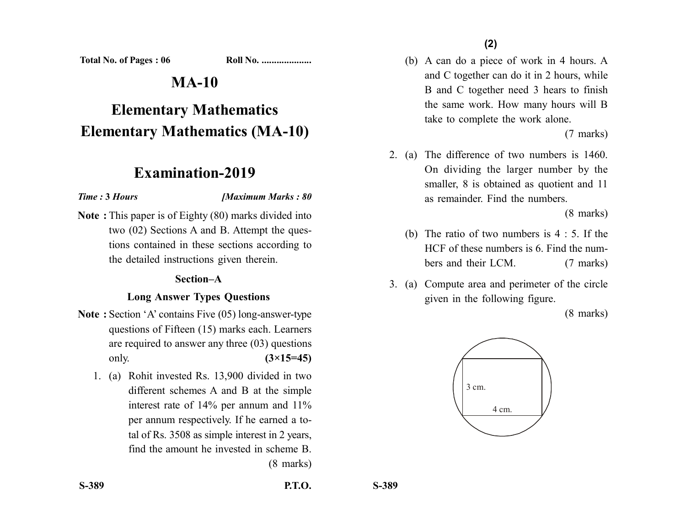**Total No. of Pages : 06 Roll No. ...................** 

# **MA-10**

# **Elementary Mathematics Elementary Mathematics (MA-10)**

## **Examination-2019**

#### *Time :* **3** *Hours [Maximum Marks : 80*

**Note :** This paper is of Eighty (80) marks divided into two (02) Sections A and B. Attempt the questions contained in these sections according to the detailed instructions given therein.

#### **Section–A**

### **Long Answer Types Questions**

- **Note :** Section 'A' contains Five (05) long-answer-type questions of Fifteen (15) marks each. Learners are required to answer any three (03) questions only. **(3×15=45)**
	- 1. (a) Rohit invested Rs. 13,900 divided in two different schemes A and B at the simple interest rate of 14% per annum and 11% per annum respectively. If he earned a total of Rs. 3508 as simple interest in 2 years, find the amount he invested in scheme B. (8 marks)

(b) A can do a piece of work in 4 hours. A and C together can do it in 2 hours, while B and C together need 3 hears to finish the same work. How many hours will B take to complete the work alone.

(7 marks)

2. (a) The difference of two numbers is 1460. On dividing the larger number by the smaller, 8 is obtained as quotient and 11 as remainder. Find the numbers.

(8 marks)

- (b) The ratio of two numbers is 4 : 5. If the HCF of these numbers is 6. Find the numbers and their LCM. (7 marks)
- 3. (a) Compute area and perimeter of the circle given in the following figure.

(8 marks)

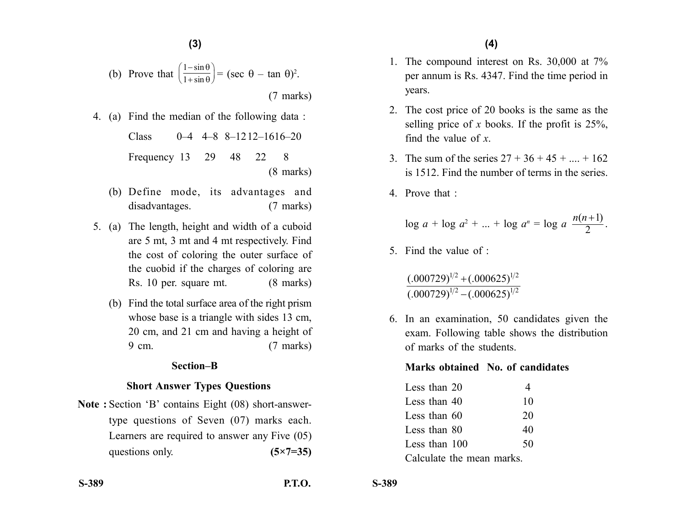(b) Prove that 
$$
\left(\frac{1-\sin\theta}{1+\sin\theta}\right) = (\sec \theta - \tan \theta)^2
$$
. (7 marks)

4. (a) Find the median of the following data :

Class 0–4 4–8 8–1212–1616–20 Frequency 13 29 48 22 8 (8 marks)

- (b) Define mode, its advantages and disadvantages. (7 marks)
- 5. (a) The length, height and width of a cuboid are 5 mt, 3 mt and 4 mt respectively. Find the cost of coloring the outer surface of the cuobid if the charges of coloring are Rs. 10 per. square mt. (8 marks)
	- (b) Find the total surface area of the right prism whose base is a triangle with sides 13 cm, 20 cm, and 21 cm and having a height of 9 cm. (7 marks)

#### **Section–B**

#### **Short Answer Types Questions**

**Note :** Section 'B' contains Eight (08) short-answertype questions of Seven (07) marks each. Learners are required to answer any Five (05) questions only. **(5×7=35)** 

- 1. The compound interest on Rs. 30,000 at 7% per annum is Rs. 4347. Find the time period in years.
- 2. The cost price of 20 books is the same as the selling price of *x* books. If the profit is 25%, find the value of *x*.
- 3. The sum of the series  $27 + 36 + 45 + ... + 162$ is 1512. Find the number of terms in the series.
- 4. Prove that :

$$
\log a + \log a^2 + \ldots + \log a^n = \log a \frac{n(n+1)}{2}.
$$

5. Find the value of :

 $(.000729)^{1/2} - (.000625)^{1/2}$  $(.000729)^{1/2}$  +  $(.000625)^{1/2}$ 

6. In an examination, 50 candidates given the exam. Following table shows the distribution of marks of the students.

#### **Marks obtained No. of candidates**

| Less than 20              |    |
|---------------------------|----|
| Less than 40              | 10 |
| Less than $60$            | 20 |
| Less than 80              | 40 |
| Less than 100             | 50 |
| Calculate the mean marks. |    |